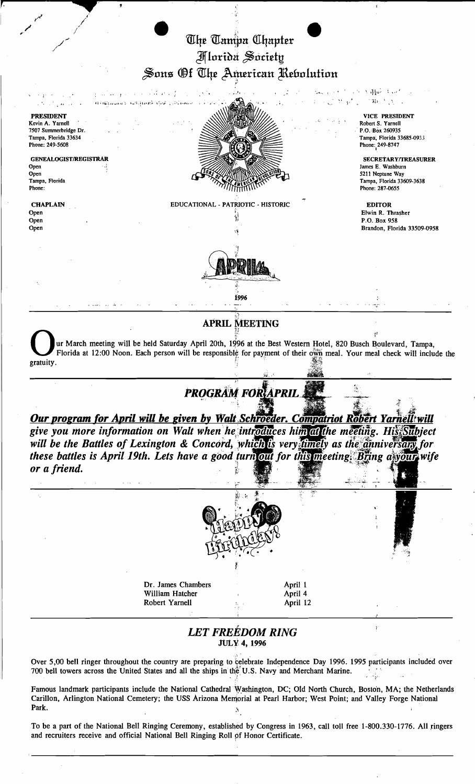## The Tampa Chapter Jfflnri~tt ~rid~t~  $\beta$ ons Of The American Rebolution

/

*jo'*  **CONTRACTION** - l' .. " f' , '. 4' • 19' • 19' • 19' • 19' • 19' • 19' • 19' • 19' • 19' • 19' • 19' • 19' • 19' • 19' • 19<br>Historia della Companience dell'India  $\mathcal{V}(\mathbf{p}^t)_{\mathbf{r}} \in \mathbb{C}^n$  by  $\mathcal{V}(\mathcal{N}_t)$  . PRESIDENT VICE PRESIDENT Kevin A. Yamell Robert S. Yamell P.O. Box 260935 7507 Summerbridge Dr. Tampa, Florida 33634  $\sqrt{1-\frac{1}{2}}$  Tampa, Florida 33685-093j Phone: 249-5608 Phone:  $^{249-8747}$ GENEALOGIST/REGISTRAR SECRETARY/TREASURER SECRETARY/TREASURER SECRETARY/TREASURER SECRETARY/TREASURER James E. Washburn<br>5211 Neptune Way Open<br>Tampa, Florida  $\sqrt{3}$  Metune Way  $T_{\text{ampa}}$ , Florida  $T_{\text{ampa}}$ , Florida 33609-3638 Phone: 287-0655 Phone: 287-0655 Phone: 287-0655 Phone: 287-0655 CHAPLAIN EDUCATIONAL - PATRIOTIC - HISTORIC EDITOR Open I, Elwin R. Thrasher  $\overline{\mathcal{L}}_1$  is the contract of the contract of the Elwin R. Thrasher 'j) Open P.O. Box 958 Open Brandon, Florida 33509-0958 " <sup>1996</sup> APRIL MEETING<br>
ur March meeting will be held Saturday April 20th, 1996 at the Best Western Hotel, 820 Busch B<br>
Florida at 12:00 Noon. Each person will be responsible for payment of their own meal. Your mea ur March meeting will be held Saturday April 20th, 1996 at the Best Western Hotel, 820 Busch Boulevard, Tampa, Florida at 12:00 Noon. Each person will be responsible for payment of their own meal. Your meal check will include the gratuity. **PROGRAM FOR APRIL** Our program for April will be given by Walt Schroeder. Compatriot Robert Yarnell will give you more information on Walt when he introduces him at the meeting. His Subject will be the Battles of Lexington & Concord, which is very timely as the anniversary for these battles is April 19th. Lets have a good turn out for this meeting. Bring a your wife or a friend. Dr. James Chambers **April 1** William Hatcher (April 4 April 4 April 12 Robert Yarnell *LET FREEDOM RING*  .ttJLY,4, 1996 Over 5,00 bell ringer throughout the country are preparing to celebrate Independence Day 1996. 1995 participants included over 700 bell towers across the United States and all the ships in the U.S. Navy and Merchant Marine.

Famous landmark participants include the National Cathedral Washington, DC; Old North Church, Boston, MA; the Netherlands Carillon, Arlington National Cemetery; the USS Arizona Memorial at Pearl Harbor; West Point; and Valley Forge National<br>Park

To be a part of the National Bell Ringing Ceremony, estabiished by Congress in 1963, call toll free 1-800.330-1776. All ringers and recruiters receive and official National Bell kinging Roll pf Honor Certificate.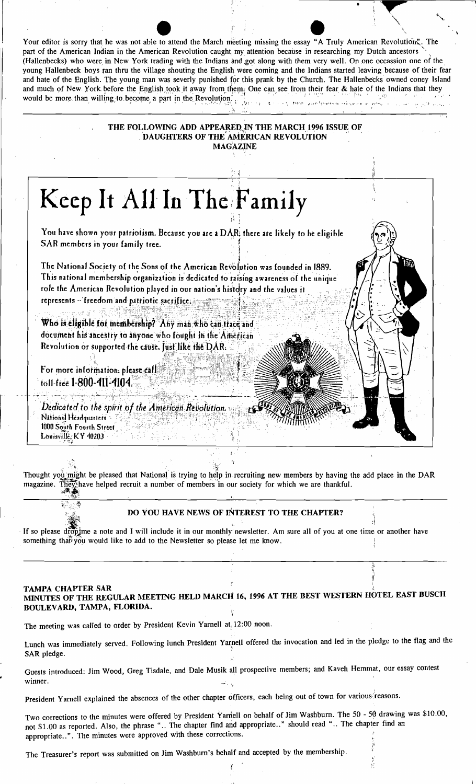| Your editor is sorry that he was not able to attend the March meeting missing the essay "A Truly American Revolution". The<br>part of the American Indian in the American Revolution caught <sub>i</sub> my attention because in researching my Dutch ancestors<br>(Hallenbecks) who were in New York trading with the Indians and got along with them very well. On one occassion one of the<br>young Hallenbeck boys ran thru the village shouting the English were coming and the Indians started leaving because of their fear<br>and hate of the English. The young man was severly punished for this prank by the Church. The Hallenbecks owned coney Island<br>and much of New York before the English took it away from them. One can see from their fear & hate of the Indians that they<br>would be more than willing to become a part in the Revolution. |                                                         | والرسي الأفاد ومعاملتها كالمريان المتعط الردا |  |
|---------------------------------------------------------------------------------------------------------------------------------------------------------------------------------------------------------------------------------------------------------------------------------------------------------------------------------------------------------------------------------------------------------------------------------------------------------------------------------------------------------------------------------------------------------------------------------------------------------------------------------------------------------------------------------------------------------------------------------------------------------------------------------------------------------------------------------------------------------------------|---------------------------------------------------------|-----------------------------------------------|--|
| THE FOLLOWING ADD APPEARED IN THE MARCH 1996 ISSUE OF                                                                                                                                                                                                                                                                                                                                                                                                                                                                                                                                                                                                                                                                                                                                                                                                               | DAUGHTERS OF THE AMERICAN REVOLUTION<br><b>MAGAZINE</b> |                                               |  |
|                                                                                                                                                                                                                                                                                                                                                                                                                                                                                                                                                                                                                                                                                                                                                                                                                                                                     |                                                         |                                               |  |
| Keep It All In The Family<br>You have shown your patriotism. Because you are a DAR; there are likely to be eligible<br>SAR members in your family tree.<br>The National Society of the Sons of the American Revolution was founded in 1889.<br>This national membership organization is dedicated to raising awareness of the unique<br>role the American Revolution played in our nation's history and the values it<br>represents - freedom and patriotic sacrifice.                                                                                                                                                                                                                                                                                                                                                                                              |                                                         |                                               |  |
| Who is eligible for membership? Any man who can trace and<br>document his ancestry to anyone who fought in the American<br>Revolution or supported the cause. Just like the DAR.<br>For more information, please call<br>toll-free 1-800-411-4104.                                                                                                                                                                                                                                                                                                                                                                                                                                                                                                                                                                                                                  |                                                         |                                               |  |
| Dedicated to the spirit of the American Revolution.<br>National Headquarters<br>1000 South Fourth Street<br>Louisville, KY 40203                                                                                                                                                                                                                                                                                                                                                                                                                                                                                                                                                                                                                                                                                                                                    |                                                         |                                               |  |

Thought you might be pleased that National is trying to help in recruiting new members by having the add place in the DAR magazine. They have helped recruit a number of members in our society for which we are thankful. ्रव्य

## DO YOU HAVE NEWS OF INTEREST TO THE CHAPTER?

If so please drop ime a note and I will include it in our monthly newsletter. Am sure all of you at one time or another have something that you would like to add to the Newsletter so please let me know.

## **TAMPA CHAPTER SAR** MINUTES OF THE REGULAR MEETING HELD MARCH 16, 1996 AT THE BEST WESTERN HOTEL EAST BUSCH BOULEVARD, TAMPA, FLORIDA. ¢

The meeting was called to order by President Kevin Yarnell at 12:00 noon.

S

Lunch was immediately served. Following lunch President Yarnell offered the invocation and led in the pledge to the flag and the SAR pledge.

Guests introduced: Jim Wood, Greg Tisdale, and Dale Musik all prospective members; and Kaveh Hemmat, our essay contest winner. ulicu

President Yarnell explained the absences of the other chapter officers, each being out of town for various reasons.

Two corrections to the minutes were offered by President Yarnell on behalf of Jim Washburn. The 50 - 50 drawing was \$10.00, not \$1.00 as reported. Also, the phrase ".. The chapter find and appropriate.." should read ".. The chapter find an appropriate..". The minutes were approved with these corrections.

Ï

The Treasurer's report was submitted on Jim Washburn's behalf and accepted by the membership.